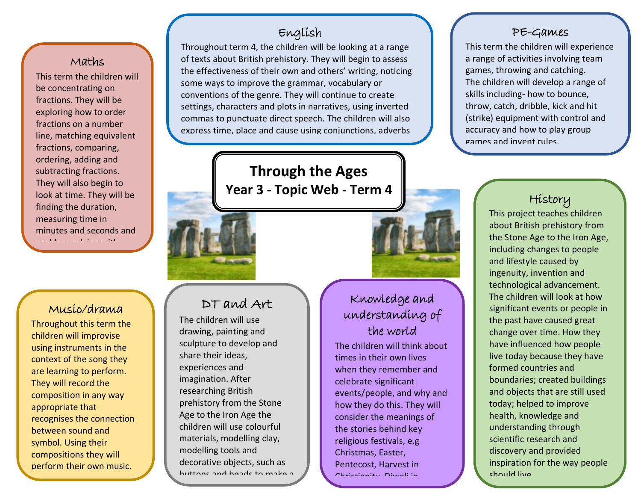#### Maths

ا They will also begin to This term the children will be concentrating on fractions. They will be exploring how to order fractions on a number line, matching equivalent fractions, comparing, ordering, adding and subtracting fractions. look at time. They will be finding the duration, measuring time in minutes and seconds and problem solving with

#### Music/drama

time.

Throughout this term the children will improvise using instruments in the context of the song they are learning to perform. They will record the composition in any way appropriate that recognises the connection between sound and symbol. Using their compositions they will perform their own music.

### English

Throughout term 4, the children will be looking at a range of texts about British prehistory. They will begin to assess the effectiveness of their own and others' writing, noticing some ways to improve the grammar, vocabulary or conventions of the genre. They will continue to create settings, characters and plots in narratives, using inverted commas to punctuate direct speech. The children will also express time, place and cause using conjunctions, adverbs

> **Through the Ages Year 3 - Topic Web - Term 4**

# DT and Art

and prepositions.

The children will use drawing, painting and sculpture to develop and share their ideas, experiences and imagination. After researching British prehistory from the Stone Age to the Iron Age the children will use colourful materials, modelling clay, modelling tools and decorative objects, such as buttons and beads to make a

2-D or 3-D models.

# Knowledge and

# understanding of the world

The children will think about times in their own lives when they remember and celebrate significant events/people, and why and how they do this. They will consider the meanings of the stories behind key religious festivals, e.g Christmas, Easter, Pentecost, Harvest in Christianity, Diwali in

Hinduism and more.

#### PE-Games

This term the children will experience a range of activities involving team games, throwing and catching. The children will develop a range of skills including- how to bounce, throw, catch, dribble, kick and hit (strike) equipment with control and accuracy and how to play group games and invent rules.

# History

This project teaches children about British prehistory from the Stone Age to the Iron Age, including changes to people and lifestyle caused by ingenuity, invention and technological advancement. The children will look at how significant events or people in the past have caused great change over time. How they have influenced how people live today because they have formed countries and boundaries; created buildings and objects that are still used today; helped to improve health, knowledge and understanding through scientific research and discovery and provided inspiration for the way people should live.